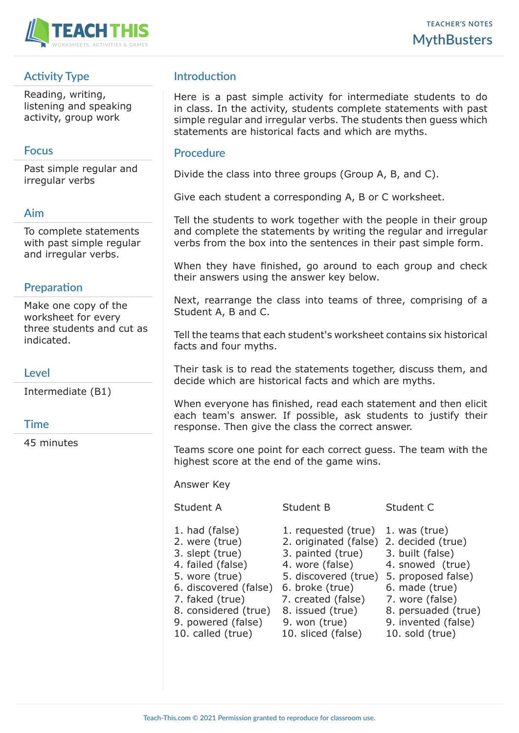

# **Activity Type**

Reading, writing, listening and speaking activity, group work

## **Focus**

Past simple regular and irregular verbs

### **Aim**

To complete statements with past simple regular and irregular verbs.

## **Preparation**

Make one copy of the worksheet for every three students and cut as indicated.

## **Level**

Intermediate (B1)

#### **Time**

45 minutes

## **Introduction**

Here is a past simple activity for intermediate students to do in class. In the activity, students complete statements with past simple regular and irregular verbs. The students then guess which statements are historical facts and which are myths.

#### **Procedure**

Divide the class into three groups (Group A, B, and C).

Give each student a corresponding A, B or C worksheet.

Tell the students to work together with the people in their group and complete the statements by writing the regular and irregular verbs from the box into the sentences in their past simple form.

When they have finished, go around to each group and check their answers using the answer key below.

Next, rearrange the class into teams of three, comprising of a Student A, B and C.

Tell the teams that each student's worksheet contains six historical facts and four myths.

Their task is to read the statements together, discuss them, and decide which are historical facts and which are myths.

When everyone has finished, read each statement and then elicit each team's answer. If possible, ask students to justify their response. Then give the class the correct answer.

Teams score one point for each correct guess. The team with the highest score at the end of the game wins.

Answer Key

#### Student A Student B Student C

- 
- 
- 3. slept (true) 3. painted (true) 3. built (false)
- 
- 
- 6. discovered (false) 6. broke (true) 6. made (true)
- 7. faked (true) 7. created (false) 7. wore (false)
- 8. considered (true) 8. issued (true) 8. persuaded (true)
- 9. powered (false) 9. won (true) 9. invented (false)
- 10. called (true) 10. sliced (false) 10. sold (true)
- 1. had (false) 1. requested (true) 1. was (true)
- 2. were (true) 2. originated (false) 2. decided (true)
	- -
- 4. failed (false) 4. wore (false) 4. snowed (true)
- 5. wore (true) 5. discovered (true) 5. proposed false)
	-
	-
	-
	-
	-